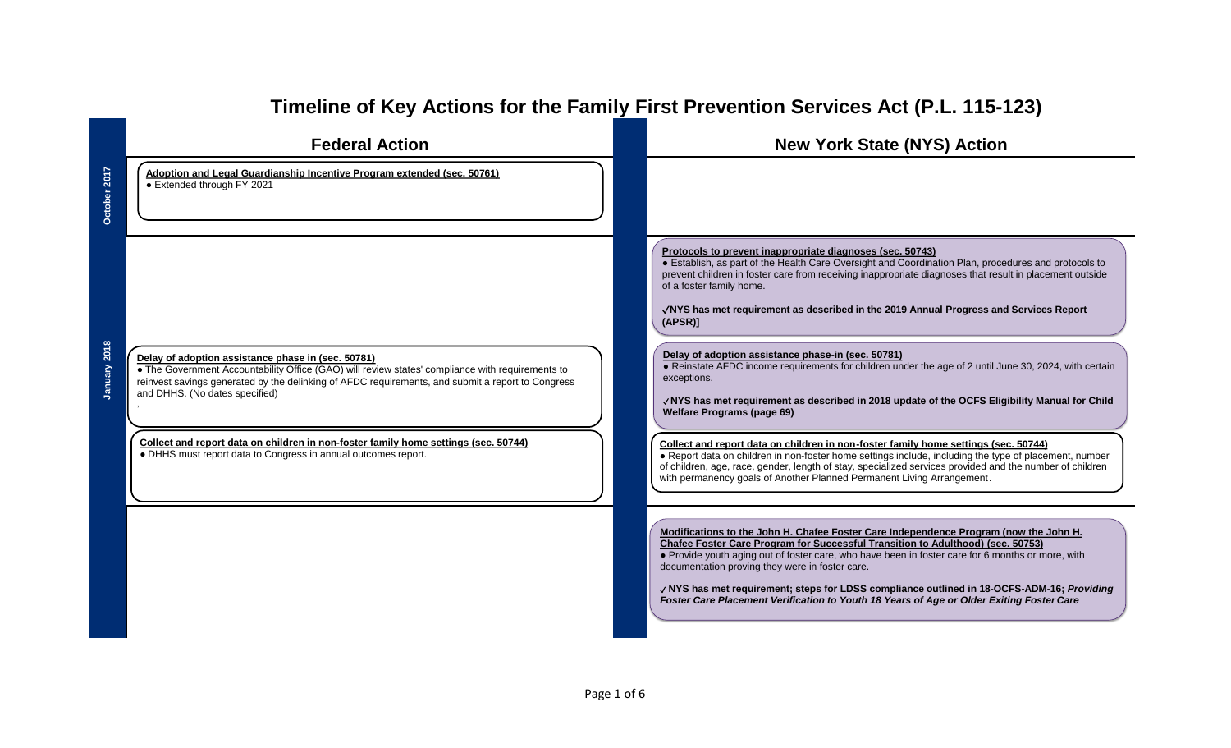|                  | <b>Federal Action</b>                                                                                                                                                                                                                                                                                                                                                                                                                                  | <b>New York State (NYS) Action</b>                                                                                                                                                                                                                                                                                                                                                                                                                                                                                                                                                                                                                                                                                                                                                                                                                                                                                                                                                                                                                                                                                      |
|------------------|--------------------------------------------------------------------------------------------------------------------------------------------------------------------------------------------------------------------------------------------------------------------------------------------------------------------------------------------------------------------------------------------------------------------------------------------------------|-------------------------------------------------------------------------------------------------------------------------------------------------------------------------------------------------------------------------------------------------------------------------------------------------------------------------------------------------------------------------------------------------------------------------------------------------------------------------------------------------------------------------------------------------------------------------------------------------------------------------------------------------------------------------------------------------------------------------------------------------------------------------------------------------------------------------------------------------------------------------------------------------------------------------------------------------------------------------------------------------------------------------------------------------------------------------------------------------------------------------|
| $\overline{201}$ | Adoption and Legal Guardianship Incentive Program extended (sec. 50761)<br>• Extended through FY 2021                                                                                                                                                                                                                                                                                                                                                  |                                                                                                                                                                                                                                                                                                                                                                                                                                                                                                                                                                                                                                                                                                                                                                                                                                                                                                                                                                                                                                                                                                                         |
| 2018             | Delay of adoption assistance phase in (sec. 50781)<br>. The Government Accountability Office (GAO) will review states' compliance with requirements to<br>reinvest savings generated by the delinking of AFDC requirements, and submit a report to Congress<br>and DHHS. (No dates specified)<br>Collect and report data on children in non-foster family home settings (sec. 50744)<br>• DHHS must report data to Congress in annual outcomes report. | Protocols to prevent inappropriate diagnoses (sec. 50743)<br>• Establish, as part of the Health Care Oversight and Coordination Plan, procedures and protocols to<br>prevent children in foster care from receiving inappropriate diagnoses that result in placement outside<br>of a foster family home.<br>√NYS has met requirement as described in the 2019 Annual Progress and Services Report<br>(APSR)<br>Delay of adoption assistance phase-in (sec. 50781)<br>. Reinstate AFDC income requirements for children under the age of 2 until June 30, 2024, with certain<br>exceptions.<br>√NYS has met requirement as described in 2018 update of the OCFS Eligibility Manual for Child<br><b>Welfare Programs (page 69)</b><br>Collect and report data on children in non-foster family home settings (sec. 50744)<br>. Report data on children in non-foster home settings include, including the type of placement, number<br>of children, age, race, gender, length of stay, specialized services provided and the number of children<br>with permanency goals of Another Planned Permanent Living Arrangement. |
|                  |                                                                                                                                                                                                                                                                                                                                                                                                                                                        | Modifications to the John H. Chafee Foster Care Independence Program (now the John H.<br>Chafee Foster Care Program for Successful Transition to Adulthood) (sec. 50753)<br>. Provide youth aging out of foster care, who have been in foster care for 6 months or more, with<br>documentation proving they were in foster care.<br>√ NYS has met requirement; steps for LDSS compliance outlined in 18-OCFS-ADM-16; Providing<br>Foster Care Placement Verification to Youth 18 Years of Age or Older Exiting Foster Care                                                                                                                                                                                                                                                                                                                                                                                                                                                                                                                                                                                              |

# **Timeline of Key Actions for the Family First Prevention Services Act (P.L. 115-123)**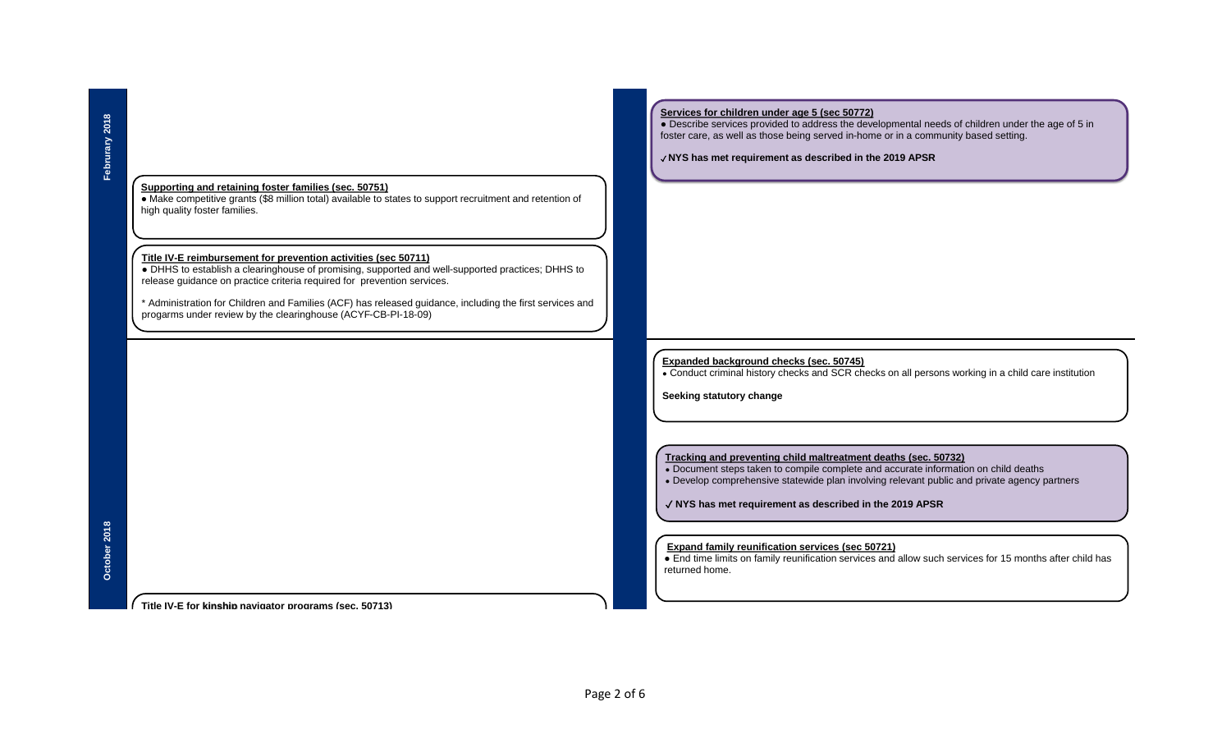#### **Supporting and retaining foster families (sec. 50751)**

● Make competitive grants (\$8 million total) available to states to support recruitment and retention of high quality foster families.

#### **Title IV-E reimbursement for prevention activities (sec 50711)**

● DHHS to establish a clearinghouse of promising, supported and well-supported practices; DHHS to release guidance on practice criteria required for prevention services.

\* Administration for Children and Families (ACF) has released guidance, including the first services and progarms under review by the clearinghouse (ACYF-CB-PI-18-09)

# **October 2018**

**Title IV-E for kinship navigator programs (sec. 50713)**

#### **Services for children under age 5 (sec 50772)**

 $\bullet$  Describe services provided to address the developmental needs of children under the age of 5 in foster care, as well as those being served in-home or in a community based setting.

✓ **NYS has met requirement as described in the 2019 APSR**

# **Expanded background checks (sec. 50745)**

• Conduct criminal history checks and SCR checks on all persons working in a child care institution

**Seeking statutory change**

#### **Tracking and preventing child maltreatment deaths (sec. 50732)**

- Document steps taken to compile complete and accurate information on child deaths
- Develop comprehensive statewide plan involving relevant public and private agency partners

✓ **NYS has met requirement as described in the 2019 APSR**

#### **Expand family reunification services (sec 50721)**

● End time limits on family reunification services and allow such services for 15 months after child has returned home.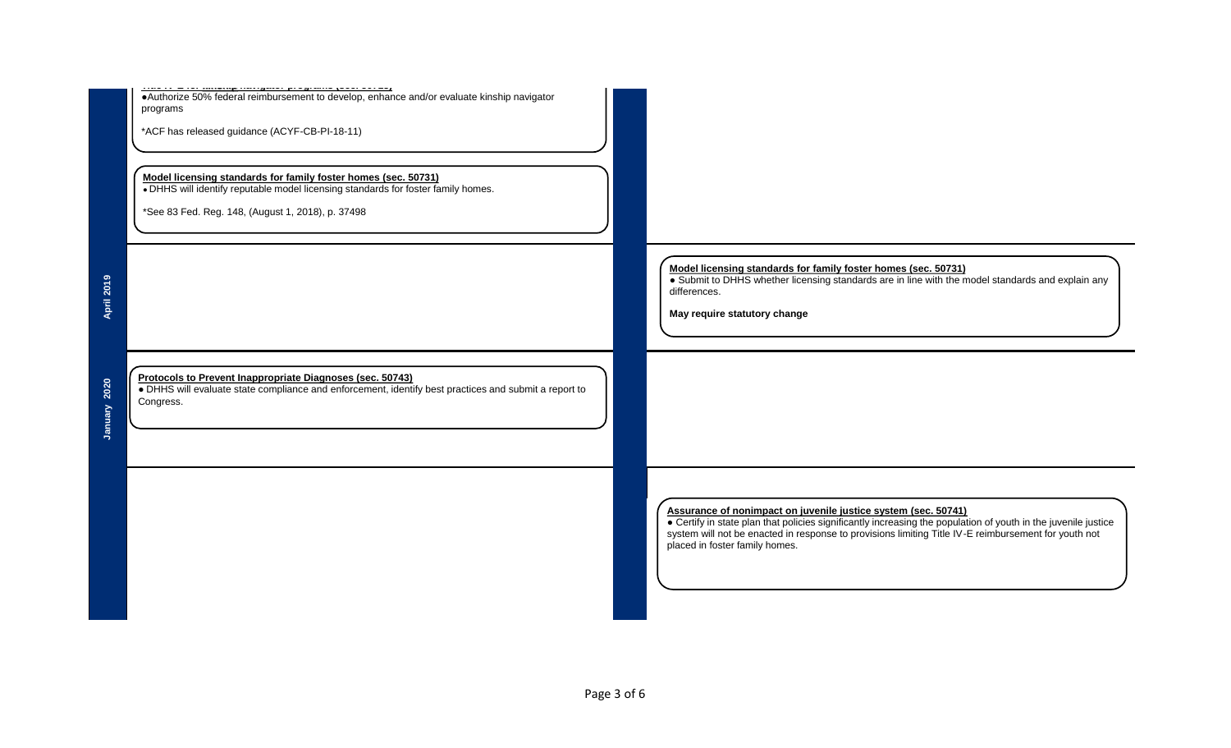|              | •Authorize 50% federal reimbursement to develop, enhance and/or evaluate kinship navigator<br>programs<br>*ACF has released guidance (ACYF-CB-PI-18-11)<br>Model licensing standards for family foster homes (sec. 50731)<br>• DHHS will identify reputable model licensing standards for foster family homes.<br>*See 83 Fed. Reg. 148, (August 1, 2018), p. 37498 |             |                                                                                                                                                                                                                                                                        |  |
|--------------|---------------------------------------------------------------------------------------------------------------------------------------------------------------------------------------------------------------------------------------------------------------------------------------------------------------------------------------------------------------------|-------------|------------------------------------------------------------------------------------------------------------------------------------------------------------------------------------------------------------------------------------------------------------------------|--|
| April 2019   |                                                                                                                                                                                                                                                                                                                                                                     |             | Model licensing standards for family foster homes (sec. 50731)<br>• Submit to DHHS whether licensing standards are in line with the model standards and explain any<br>differences.<br>May require statutory change                                                    |  |
| January 2020 | Protocols to Prevent Inappropriate Diagnoses (sec. 50743)<br>• DHHS will evaluate state compliance and enforcement, identify best practices and submit a report to<br>Congress.                                                                                                                                                                                     |             |                                                                                                                                                                                                                                                                        |  |
|              |                                                                                                                                                                                                                                                                                                                                                                     |             | Assurance of nonimpact on juvenile justice system (sec. 50741)<br>• Certify in state plan that policies significantly increasing the population of youth in the juvenile justice<br>system will not be enacted in response to provis<br>placed in foster family homes. |  |
|              |                                                                                                                                                                                                                                                                                                                                                                     | Page 3 of 6 |                                                                                                                                                                                                                                                                        |  |
|              |                                                                                                                                                                                                                                                                                                                                                                     |             |                                                                                                                                                                                                                                                                        |  |
|              |                                                                                                                                                                                                                                                                                                                                                                     |             |                                                                                                                                                                                                                                                                        |  |
|              |                                                                                                                                                                                                                                                                                                                                                                     |             |                                                                                                                                                                                                                                                                        |  |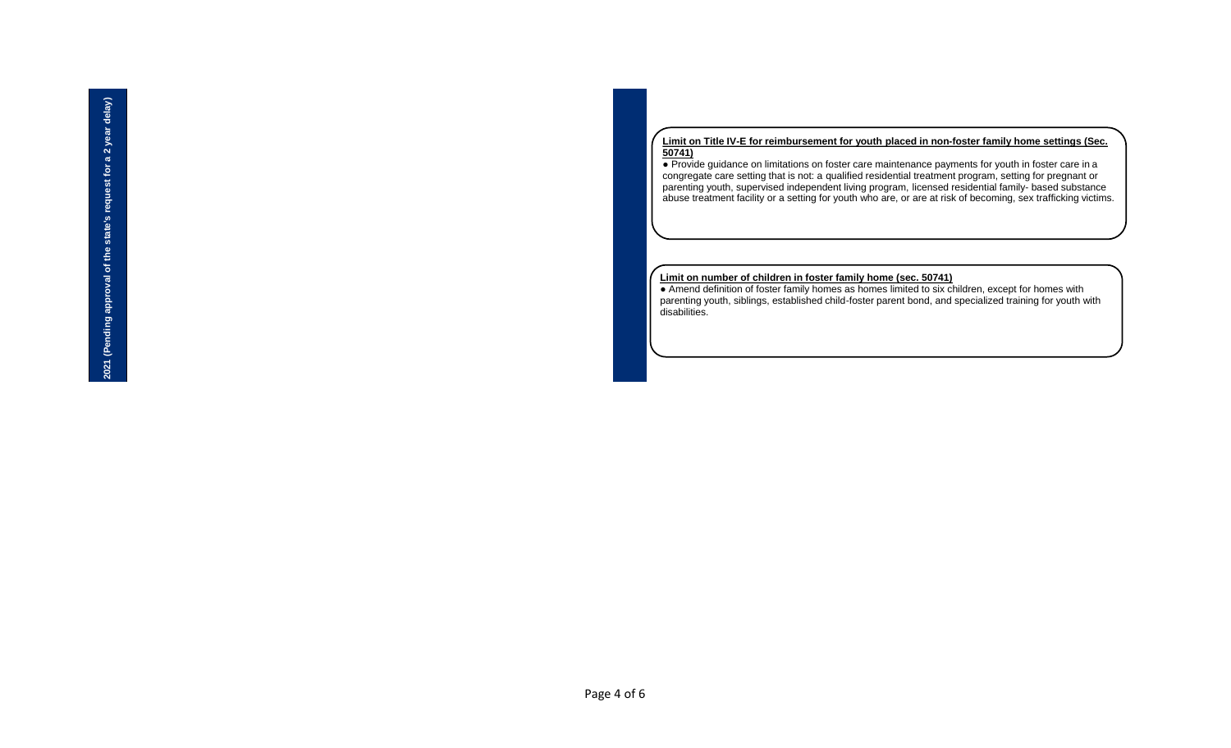#### **Limit on Title IV-E for reimbursement for youth placed in non-foster family home settings (Sec. 50741)**

● Provide guidance on limitations on foster care maintenance payments for youth in foster care in a congregate care setting that is not: a qualified residential treatment program, setting for pregnant or parenting youth, supervised independent living program, licensed residential family- based substance abuse treatment facility or a setting for youth who are, or are at risk of becoming, sex trafficking victims.

### **Limit on number of children in foster family home (sec. 50741)**

• Amend definition of foster family homes as homes limited to six children, except for homes with parenting youth, siblings, established child-foster parent bond, and specialized training for youth with disabilities.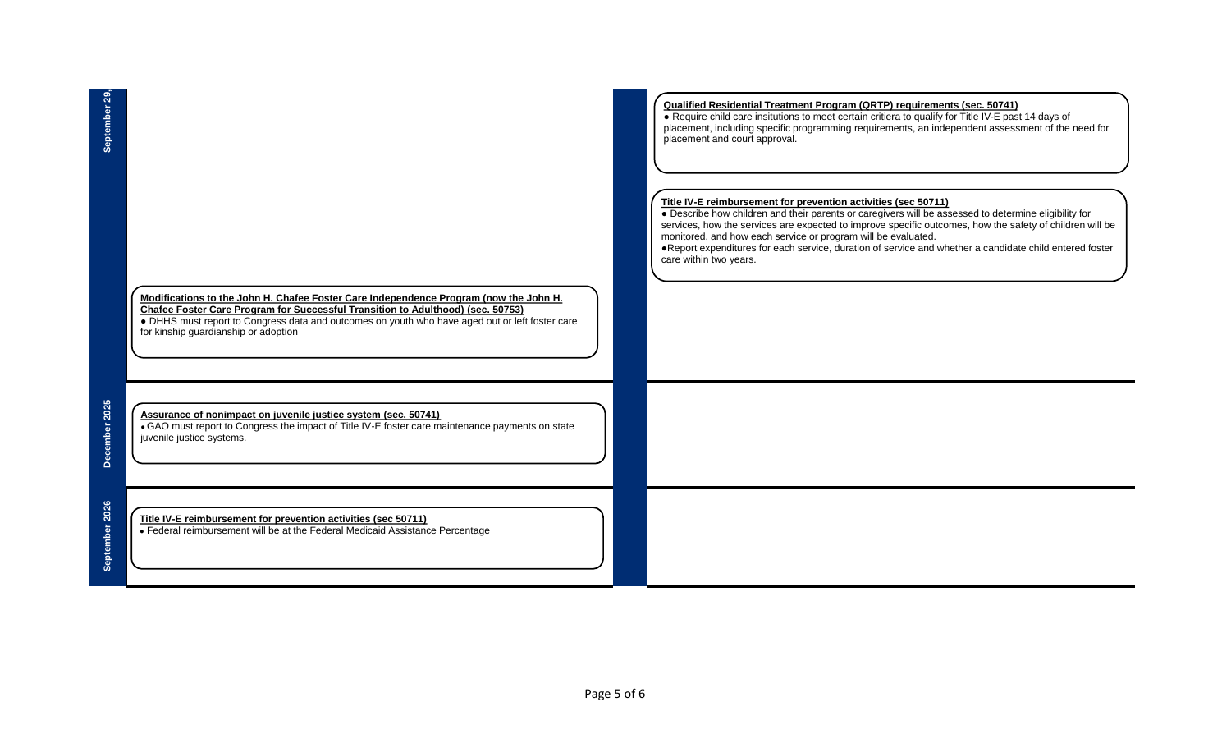| Modifications to the John H. Chafee Foster Care Independence Program (now the John H.           |
|-------------------------------------------------------------------------------------------------|
| <b>Chafee Foster Care Program for Successful Transition to Adulthood) (sec. 50753)</b>          |
| • DHHS must report to Congress data and outcomes on youth who have aged out or left foster care |
| for kinship quardianship or adoption                                                            |

# **Assurance of nonimpact on juvenile justice system (sec. 50741)**

• GAO must report to Congress the impact of Title IV-E foster care maintenance payments on state juvenile justice systems.

# **Title IV-E reimbursement for prevention activities (sec 50711)**

• Federal reimbursement will be at the Federal Medicaid Assistance Percentage

## **Qualified Residential Treatment Program (QRTP) requirements (sec. 50741)**

● Require child care insitutions to meet certain critiera to qualify for Title IV-E past 14 days of placement, including specific programming requirements, an independent assessment of the need for placement and court approval.

#### **Title IV-E reimbursement for prevention activities (sec 50711)**

● Describe how children and their parents or caregivers will be assessed to determine eligibility for services, how the services are expected to improve specific outcomes, how the safety of children will be monitored, and how each service or program will be evaluated.

●Report expenditures for each service, duration of service and whether a candidate child entered foster care within two years.

December 2025